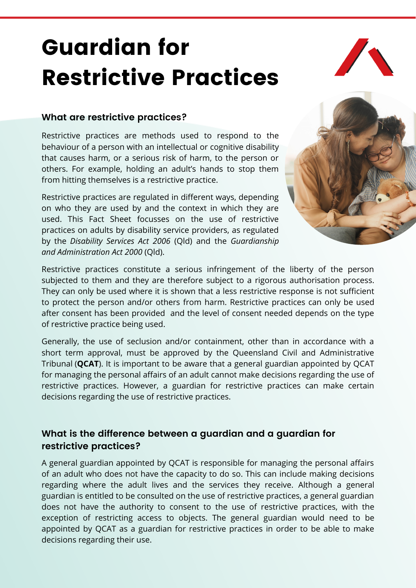# Guardian for Restrictive Practices



#### **What are restrictive practices?**

Restrictive practices are methods used to respond to the behaviour of a person with an intellectual or cognitive disability that causes harm, or a serious risk of harm, to the person or others. For example, holding an adult's hands to stop them from hitting themselves is a restrictive practice.

Restrictive practices are regulated in different ways, depending on who they are used by and the context in which they are used. This Fact Sheet focusses on the use of restrictive practices on adults by disability service providers, as regulated by the *Disability Services Act 2006* (Qld) and the *Guardianship and Administration Act 2000* (Qld).



Restrictive practices constitute a serious infringement of the liberty of the person subjected to them and they are therefore subject to a rigorous authorisation process. They can only be used where it is shown that a less restrictive response is not sufficient to protect the person and/or others from harm. Restrictive practices can only be used after consent has been provided and the level of consent needed depends on the type of restrictive practice being used.

Generally, the use of seclusion and/or containment, other than in accordance with a short term approval, must be approved by the Queensland Civil and Administrative Tribunal (**QCAT**). It is important to be aware that a general guardian appointed by QCAT for managing the personal affairs of an adult cannot make decisions regarding the use of restrictive practices. However, a guardian for restrictive practices can make certain decisions regarding the use of restrictive practices.

#### **What is the difference between a guardian and a guardian for restrictive practices?**

A general guardian appointed by QCAT is responsible for managing the personal affairs of an adult who does not have the capacity to do so. This can include making decisions regarding where the adult lives and the services they receive. Although a general guardian is entitled to be consulted on the use of restrictive practices, a general guardian does not have the authority to consent to the use of restrictive practices, with the exception of restricting access to objects. The general guardian would need to be appointed by QCAT as a guardian for restrictive practices in order to be able to make decisions regarding their use.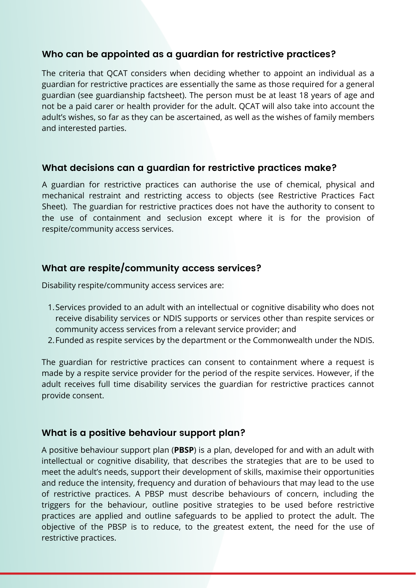#### **Who can be appointed as a guardian for restrictive practices?**

The criteria that QCAT considers when deciding whether to appoint an individual as a guardian for restrictive practices are essentially the same as those required for a general guardian (see guardianship factsheet). The person must be at least 18 years of age and not be a paid carer or health provider for the adult. QCAT will also take into account the adult's wishes, so far as they can be ascertained, as well as the wishes of family members and interested parties.

#### **What decisions can a guardian for restrictive practices make?**

A guardian for restrictive practices can authorise the use of chemical, physical and mechanical restraint and restricting access to objects (see Restrictive Practices Fact Sheet). The guardian for restrictive practices does not have the authority to consent to the use of containment and seclusion except where it is for the provision of respite/community access services.

### **What are respite/community access services?**

Disability respite/community access services are:

- 1. Services provided to an adult with an intellectual or cognitive disability who does not receive disability services or NDIS supports or services other than respite services or community access services from a relevant service provider; and
- 2. Funded as respite services by the department or the Commonwealth under the NDIS.

The guardian for restrictive practices can consent to containment where a request is made by a respite service provider for the period of the respite services. However, if the adult receives full time disability services the guardian for restrictive practices cannot provide consent.

#### **What is a positive behaviour support plan?**

A positive behaviour support plan (**PBSP**) is a plan, developed for and with an adult with intellectual or cognitive disability, that describes the strategies that are to be used to meet the adult's needs, support their development of skills, maximise their opportunities and reduce the intensity, frequency and duration of behaviours that may lead to the use of restrictive practices. A PBSP must describe behaviours of concern, including the triggers for the behaviour, outline positive strategies to be used before restrictive practices are applied and outline safeguards to be applied to protect the adult. The objective of the PBSP is to reduce, to the greatest extent, the need for the use of restrictive practices.